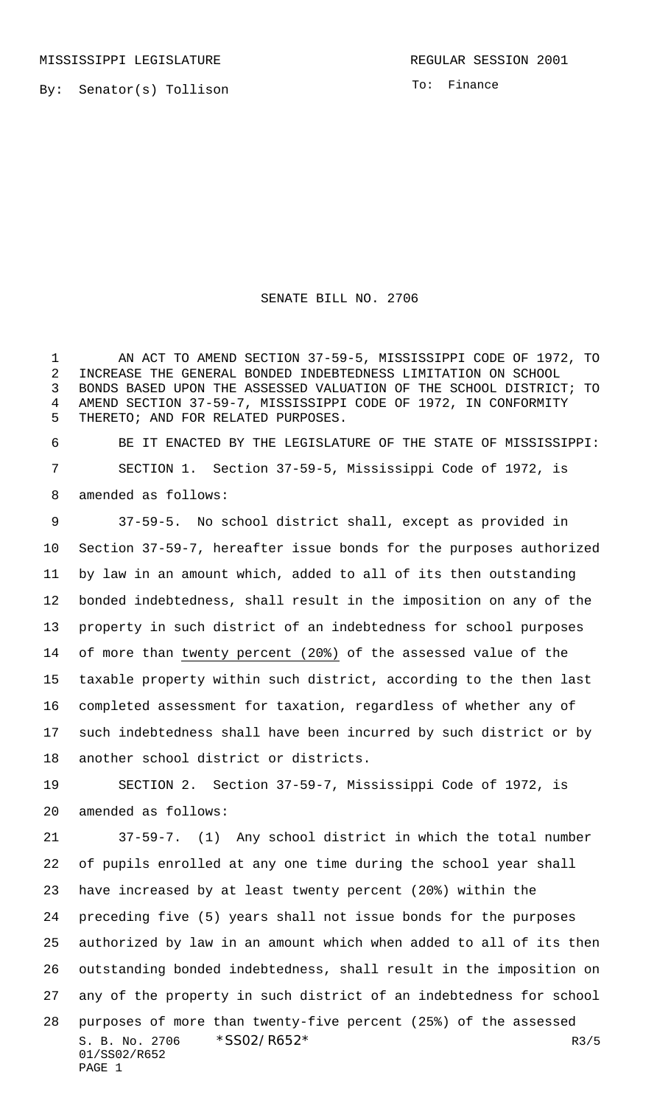MISSISSIPPI LEGISLATURE **REGULAR SESSION 2001** 

By: Senator(s) Tollison

To: Finance

## SENATE BILL NO. 2706

 AN ACT TO AMEND SECTION 37-59-5, MISSISSIPPI CODE OF 1972, TO INCREASE THE GENERAL BONDED INDEBTEDNESS LIMITATION ON SCHOOL BONDS BASED UPON THE ASSESSED VALUATION OF THE SCHOOL DISTRICT; TO AMEND SECTION 37-59-7, MISSISSIPPI CODE OF 1972, IN CONFORMITY THERETO; AND FOR RELATED PURPOSES.

 BE IT ENACTED BY THE LEGISLATURE OF THE STATE OF MISSISSIPPI: SECTION 1. Section 37-59-5, Mississippi Code of 1972, is amended as follows:

 37-59-5. No school district shall, except as provided in Section 37-59-7, hereafter issue bonds for the purposes authorized by law in an amount which, added to all of its then outstanding bonded indebtedness, shall result in the imposition on any of the property in such district of an indebtedness for school purposes of more than twenty percent (20%) of the assessed value of the taxable property within such district, according to the then last completed assessment for taxation, regardless of whether any of such indebtedness shall have been incurred by such district or by another school district or districts.

 SECTION 2. Section 37-59-7, Mississippi Code of 1972, is amended as follows:

S. B. No. 2706  $*SS02/R652*$  R3/5 01/SS02/R652 PAGE 1 37-59-7. (1) Any school district in which the total number of pupils enrolled at any one time during the school year shall have increased by at least twenty percent (20%) within the preceding five (5) years shall not issue bonds for the purposes authorized by law in an amount which when added to all of its then outstanding bonded indebtedness, shall result in the imposition on any of the property in such district of an indebtedness for school purposes of more than twenty-five percent (25%) of the assessed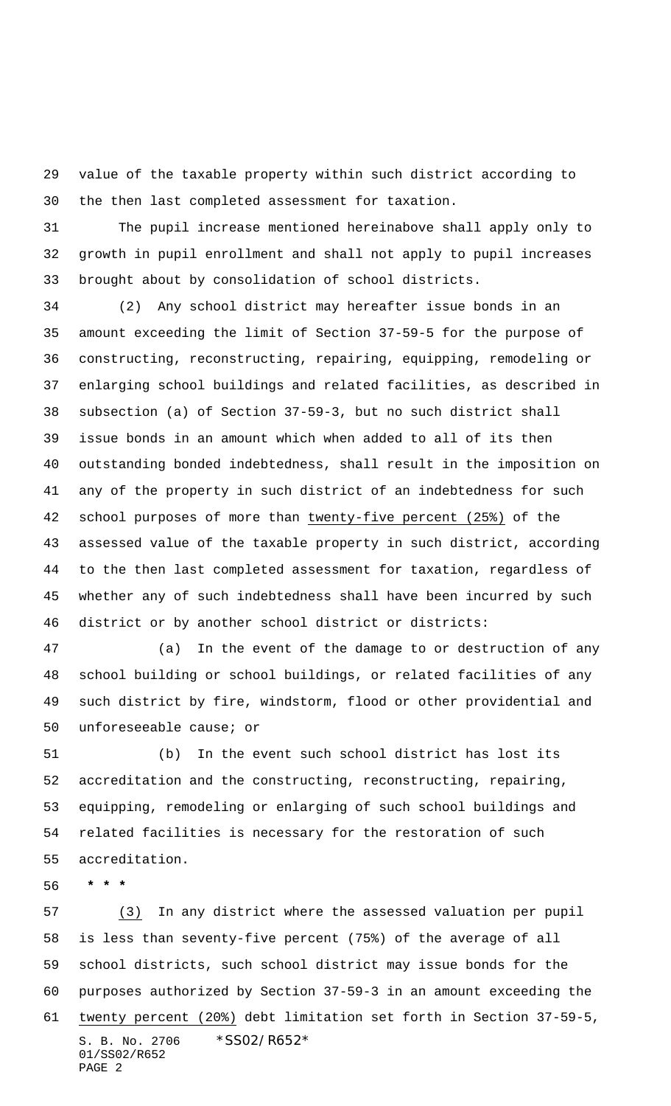value of the taxable property within such district according to the then last completed assessment for taxation.

 The pupil increase mentioned hereinabove shall apply only to growth in pupil enrollment and shall not apply to pupil increases brought about by consolidation of school districts.

 (2) Any school district may hereafter issue bonds in an amount exceeding the limit of Section 37-59-5 for the purpose of constructing, reconstructing, repairing, equipping, remodeling or enlarging school buildings and related facilities, as described in subsection (a) of Section 37-59-3, but no such district shall issue bonds in an amount which when added to all of its then outstanding bonded indebtedness, shall result in the imposition on any of the property in such district of an indebtedness for such school purposes of more than twenty-five percent (25%) of the assessed value of the taxable property in such district, according to the then last completed assessment for taxation, regardless of whether any of such indebtedness shall have been incurred by such district or by another school district or districts:

 (a) In the event of the damage to or destruction of any school building or school buildings, or related facilities of any such district by fire, windstorm, flood or other providential and unforeseeable cause; or

 (b) In the event such school district has lost its accreditation and the constructing, reconstructing, repairing, equipping, remodeling or enlarging of such school buildings and related facilities is necessary for the restoration of such accreditation.

 **\* \* \***

S. B. No. 2706 \*SS02/R652\* 01/SS02/R652 PAGE 2 (3) In any district where the assessed valuation per pupil is less than seventy-five percent (75%) of the average of all school districts, such school district may issue bonds for the purposes authorized by Section 37-59-3 in an amount exceeding the twenty percent (20%) debt limitation set forth in Section 37-59-5,